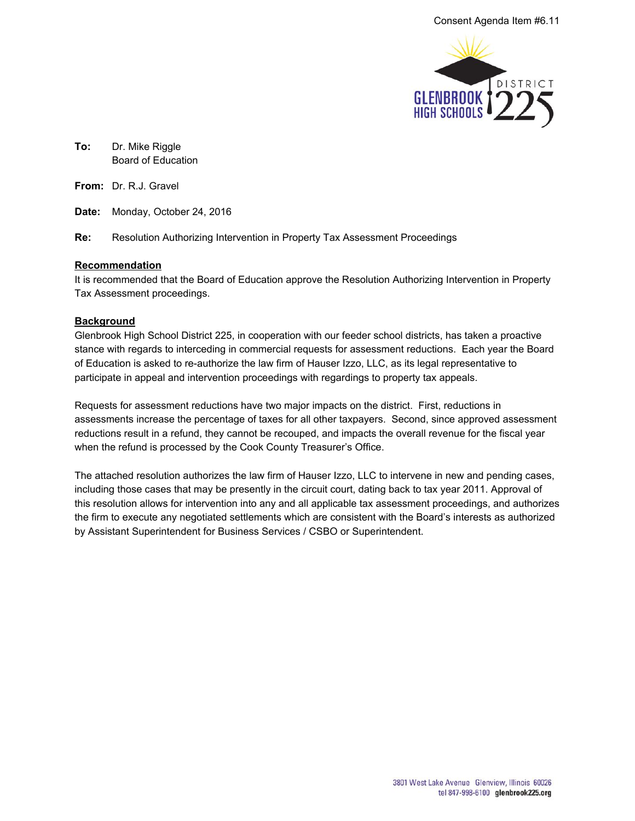

**To:** Dr. Mike Riggle Board of Education

**From:** Dr. R.J. Gravel

**Date:** Monday, October 24, 2016

**Re:** Resolution Authorizing Intervention in Property Tax Assessment Proceedings

## **Recommendation**

It is recommended that the Board of Education approve the Resolution Authorizing Intervention in Property Tax Assessment proceedings.

## **Background**

Glenbrook High School District 225, in cooperation with our feeder school districts, has taken a proactive stance with regards to interceding in commercial requests for assessment reductions. Each year the Board of Education is asked to re-authorize the law firm of Hauser Izzo, LLC, as its legal representative to participate in appeal and intervention proceedings with regardings to property tax appeals.

Requests for assessment reductions have two major impacts on the district. First, reductions in assessments increase the percentage of taxes for all other taxpayers. Second, since approved assessment reductions result in a refund, they cannot be recouped, and impacts the overall revenue for the fiscal year when the refund is processed by the Cook County Treasurer's Office.

The attached resolution authorizes the law firm of Hauser Izzo, LLC to intervene in new and pending cases, including those cases that may be presently in the circuit court, dating back to tax year 2011. Approval of this resolution allows for intervention into any and all applicable tax assessment proceedings, and authorizes the firm to execute any negotiated settlements which are consistent with the Board's interests as authorized by Assistant Superintendent for Business Services / CSBO or Superintendent.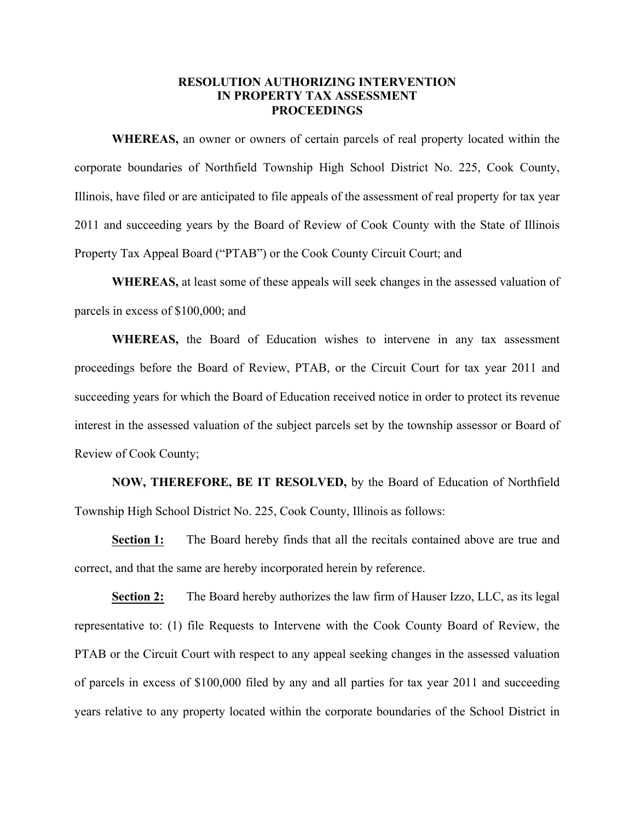## **RESOLUTION AUTHORIZING INTERVENTION IN PROPERTY TAX ASSESSMENT PROCEEDINGS**

**WHEREAS,** an owner or owners of certain parcels of real property located within the corporate boundaries of Northfield Township High School District No. 225, Cook County, Illinois, have filed or are anticipated to file appeals of the assessment of real property for tax year 2011 and succeeding years by the Board of Review of Cook County with the State of Illinois Property Tax Appeal Board ("PTAB") or the Cook County Circuit Court; and

**WHEREAS,** at least some of these appeals will seek changes in the assessed valuation of parcels in excess of \$100,000; and

**WHEREAS,** the Board of Education wishes to intervene in any tax assessment proceedings before the Board of Review, PTAB, or the Circuit Court for tax year 2011 and succeeding years for which the Board of Education received notice in order to protect its revenue interest in the assessed valuation of the subject parcels set by the township assessor or Board of Review of Cook County;

**NOW, THEREFORE, BE IT RESOLVED,** by the Board of Education of Northfield Township High School District No. 225, Cook County, Illinois as follows:

**Section 1:** The Board hereby finds that all the recitals contained above are true and correct, and that the same are hereby incorporated herein by reference.

**Section 2:** The Board hereby authorizes the law firm of Hauser Izzo, LLC, as its legal representative to: (1) file Requests to Intervene with the Cook County Board of Review, the PTAB or the Circuit Court with respect to any appeal seeking changes in the assessed valuation of parcels in excess of \$100,000 filed by any and all parties for tax year 2011 and succeeding years relative to any property located within the corporate boundaries of the School District in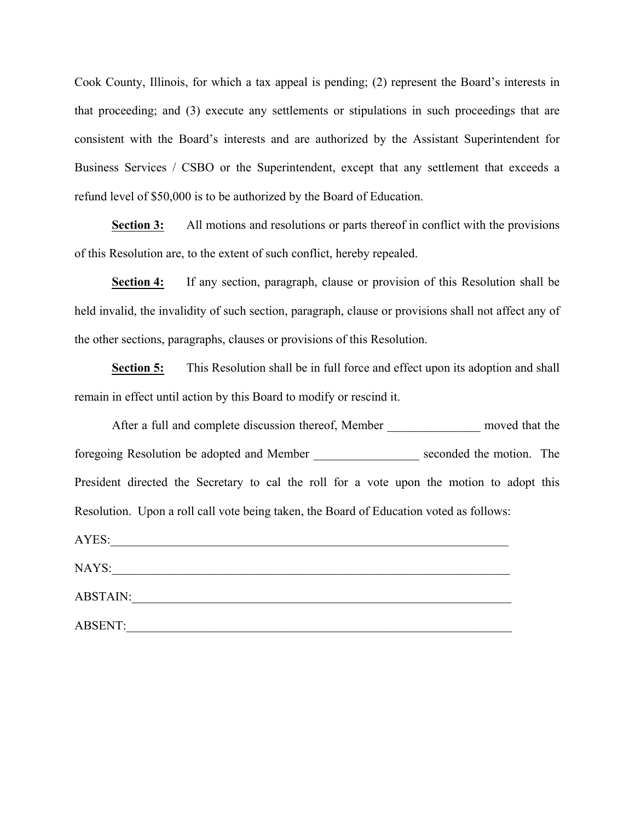Cook County, Illinois, for which a tax appeal is pending; (2) represent the Board's interests in that proceeding; and (3) execute any settlements or stipulations in such proceedings that are consistent with the Board's interests and are authorized by the Assistant Superintendent for Business Services / CSBO or the Superintendent, except that any settlement that exceeds a refund level of \$50,000 is to be authorized by the Board of Education.

**Section 3:** All motions and resolutions or parts thereof in conflict with the provisions of this Resolution are, to the extent of such conflict, hereby repealed.

**Section 4:** If any section, paragraph, clause or provision of this Resolution shall be held invalid, the invalidity of such section, paragraph, clause or provisions shall not affect any of the other sections, paragraphs, clauses or provisions of this Resolution.

**Section 5:** This Resolution shall be in full force and effect upon its adoption and shall remain in effect until action by this Board to modify or rescind it.

| After a full and complete discussion thereof, Member _______________ moved that the       |  |
|-------------------------------------------------------------------------------------------|--|
| foregoing Resolution be adopted and Member ___________________ seconded the motion. The   |  |
| President directed the Secretary to cal the roll for a vote upon the motion to adopt this |  |
| Resolution. Upon a roll call vote being taken, the Board of Education voted as follows:   |  |
| AYES:                                                                                     |  |
|                                                                                           |  |
| <b>ABSTAIN:</b>                                                                           |  |
| <b>ABSENT:</b>                                                                            |  |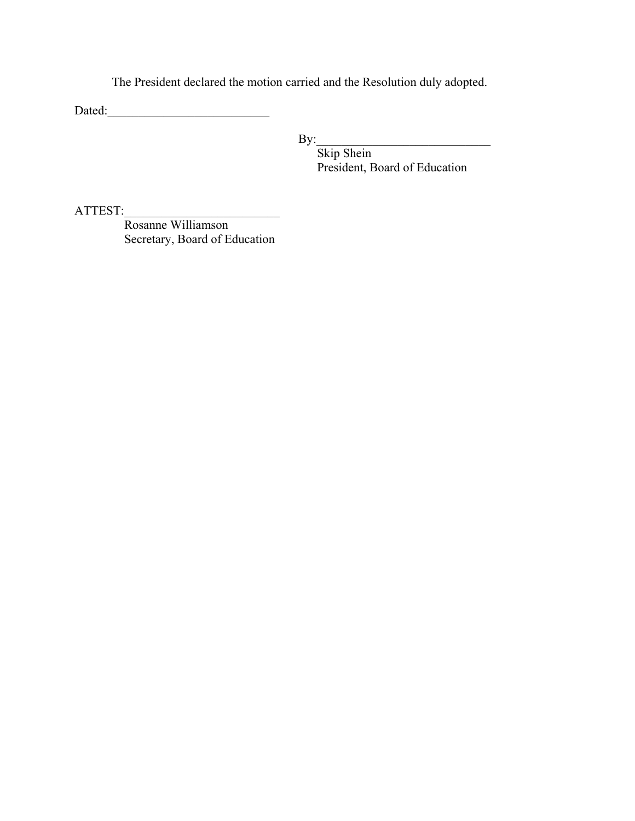The President declared the motion carried and the Resolution duly adopted.

Dated:\_\_\_\_\_\_\_\_\_\_\_\_\_\_\_\_\_\_\_\_\_\_\_\_\_\_

 $\mathbf{By:}$ 

 Skip Shein President, Board of Education

ATTEST:\_\_\_\_\_\_\_\_\_\_\_\_\_\_\_\_\_\_\_\_\_\_\_\_\_

 Rosanne Williamson Secretary, Board of Education